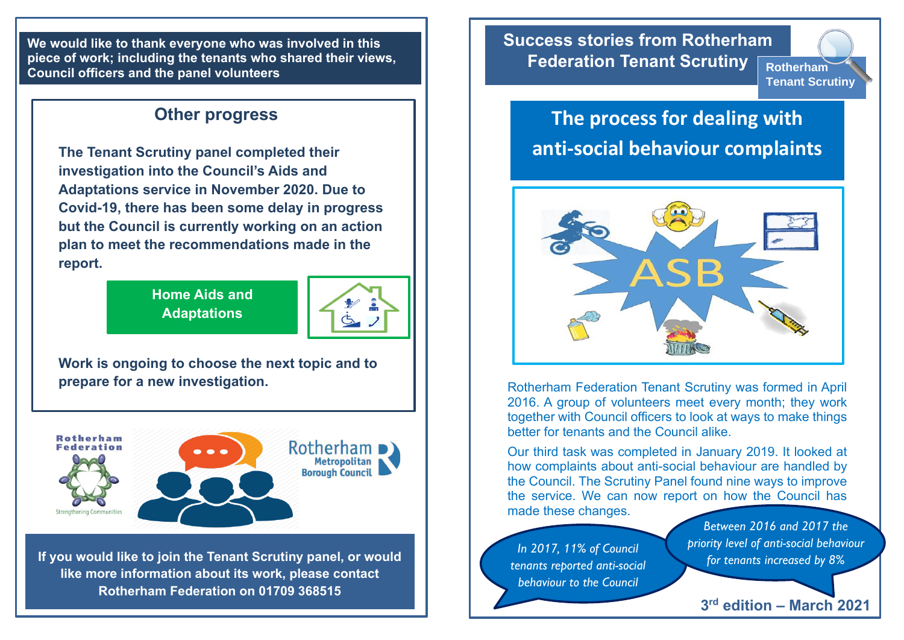**We would like to thank everyone who was involved in this piece of work; including the tenants who shared their views, Council officers and the panel volunteers**

## **Other progress**

**The Tenant Scrutiny panel completed their investigation into the Council's Aids and Adaptations service in November 2020. Due to Covid-19, there has been some delay in progress but the Council is currently working on an action plan to meet the recommendations made in the report.**

> **Home Aids and Adaptations**



**Work is ongoing to choose the next topic and to prepare for a new investigation.**



**If you would like to join the Tenant Scrutiny panel, or would like more information about its work, please contact Rotherham Federation on 01709 368515**

**Success stories from Rotherham Federation Tenant Scrutiny Rotherham** 

**Tenant Scrutiny**

## **The process for dealing with anti-social behaviour complaints**



Rotherham Federation Tenant Scrutiny was formed in April 2016. A group of volunteers meet every month; they work together with Council officers to look at ways to make things better for tenants and the Council alike.

Our third task was completed in January 2019. It looked at how complaints about anti-social behaviour are handled by the Council. The Scrutiny Panel found nine ways to improve the service. We can now report on how the Council has made these changes.

*In 2017, 11% of Council tenants reported anti-social behaviour to the Council*

*Between 2016 and 2017 the priority level of anti-social behaviour for tenants increased by 8%*

**3 rd edition – March 2021**